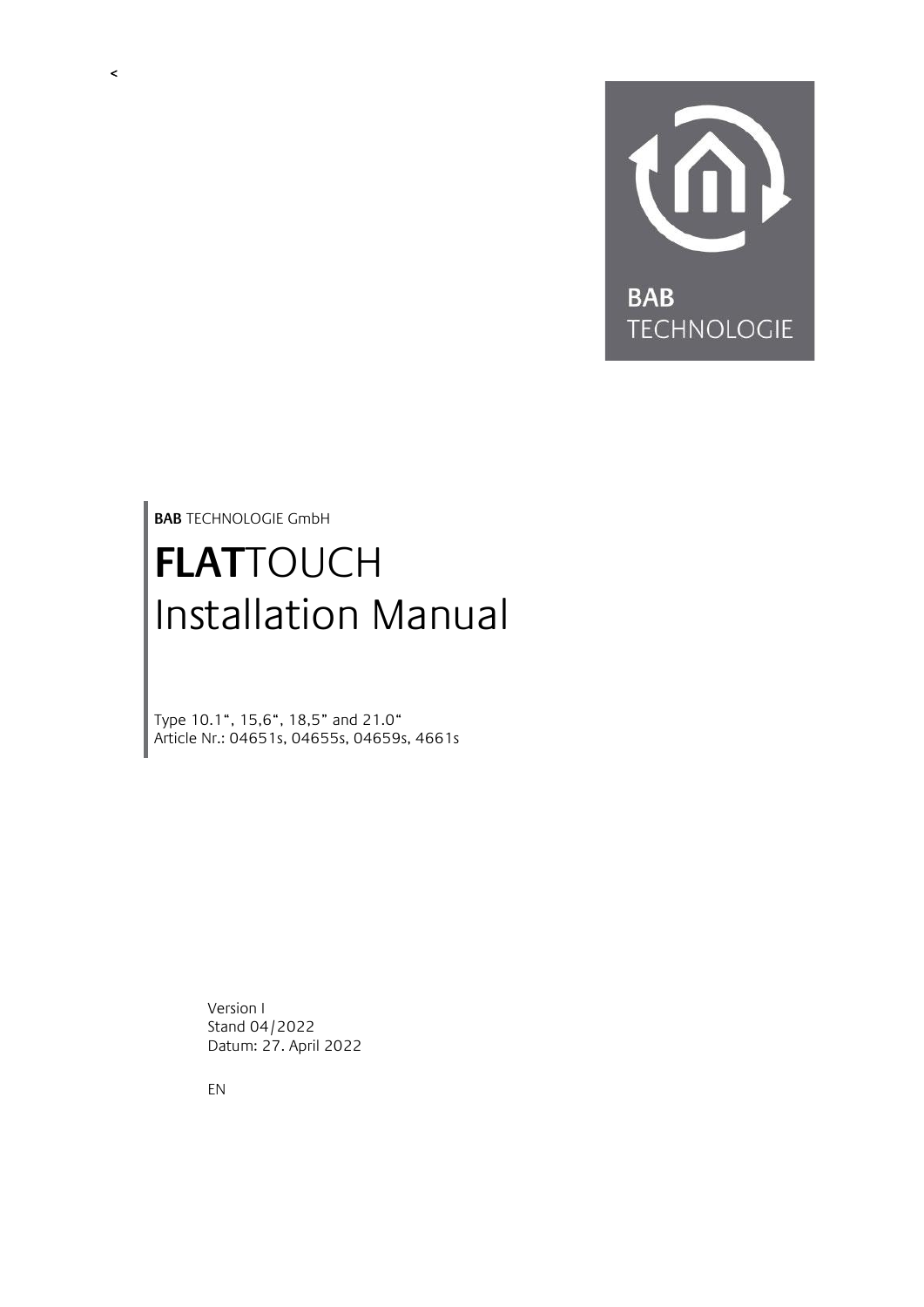

<span id="page-0-0"></span>**BAB** TECHNOLOGIE GmbH

# **FLAT**TOUCH Installation Manual

Type 10.1", 15,6", 18,5" and 21.0" Article Nr.: 04651s, 04655s, 04659s, 4661s

> Version I Stand 04/2022 Datum: 27. April 2022

EN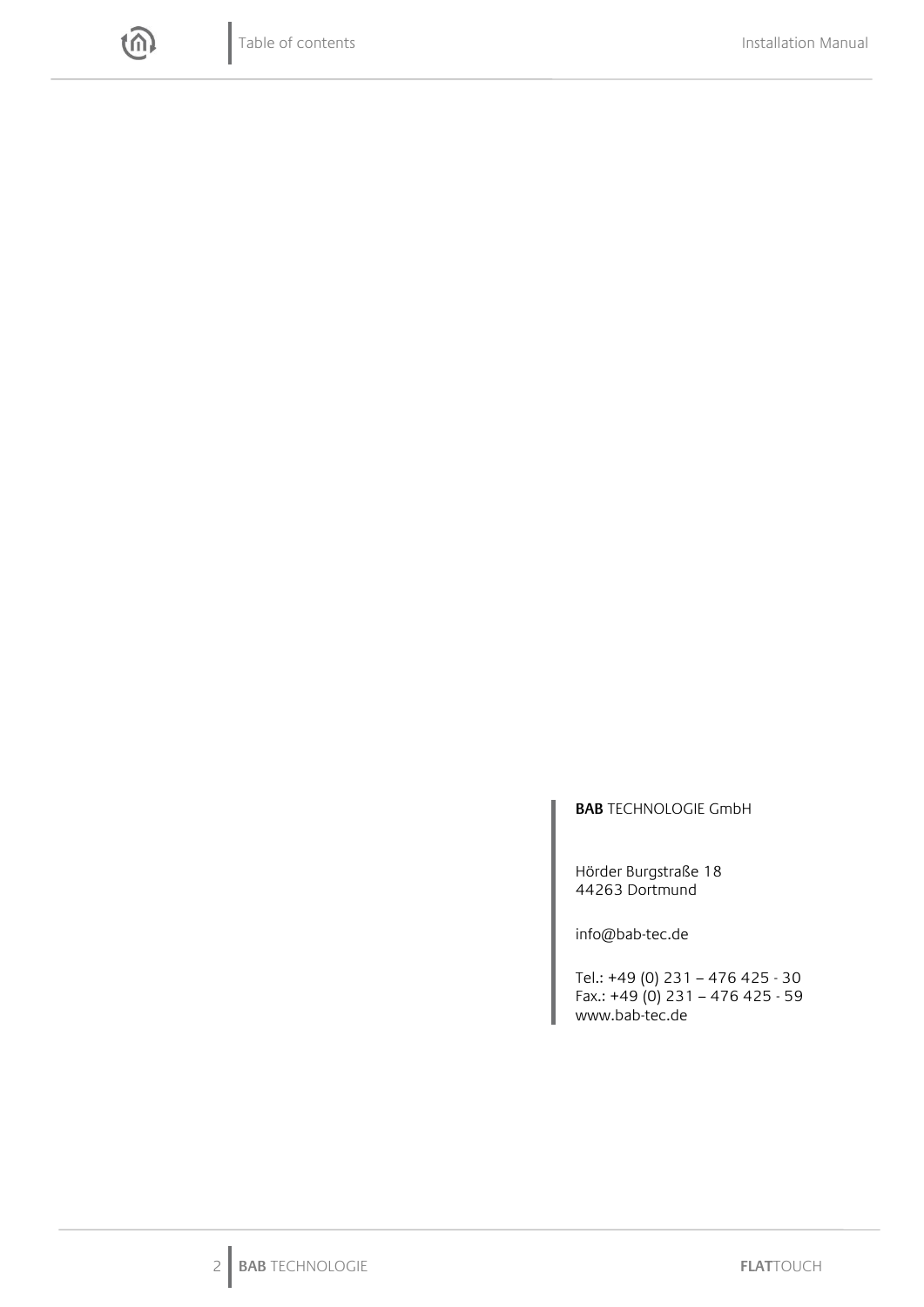

#### **BAB** TECHNOLOGIE GmbH

Hörder Burgstraße 18 44263 Dortmund

info@bab-tec.de

Tel.: +49 (0) 231 – 476 425 - 30 Fax.: +49 (0) 231 – 476 425 - 59 www.bab-tec.de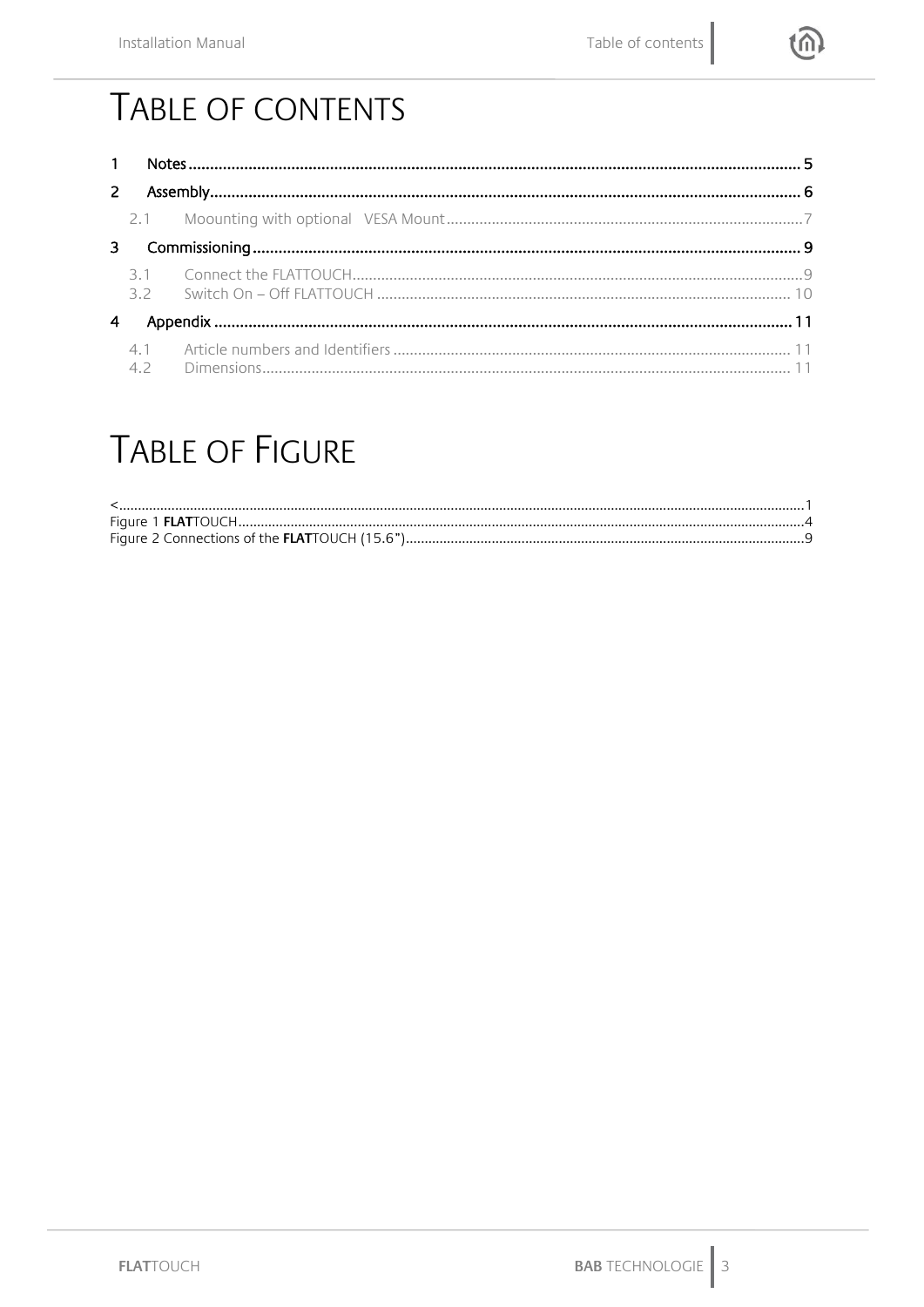

# TABLE OF CONTENTS

# **TABLE OF FIGURE**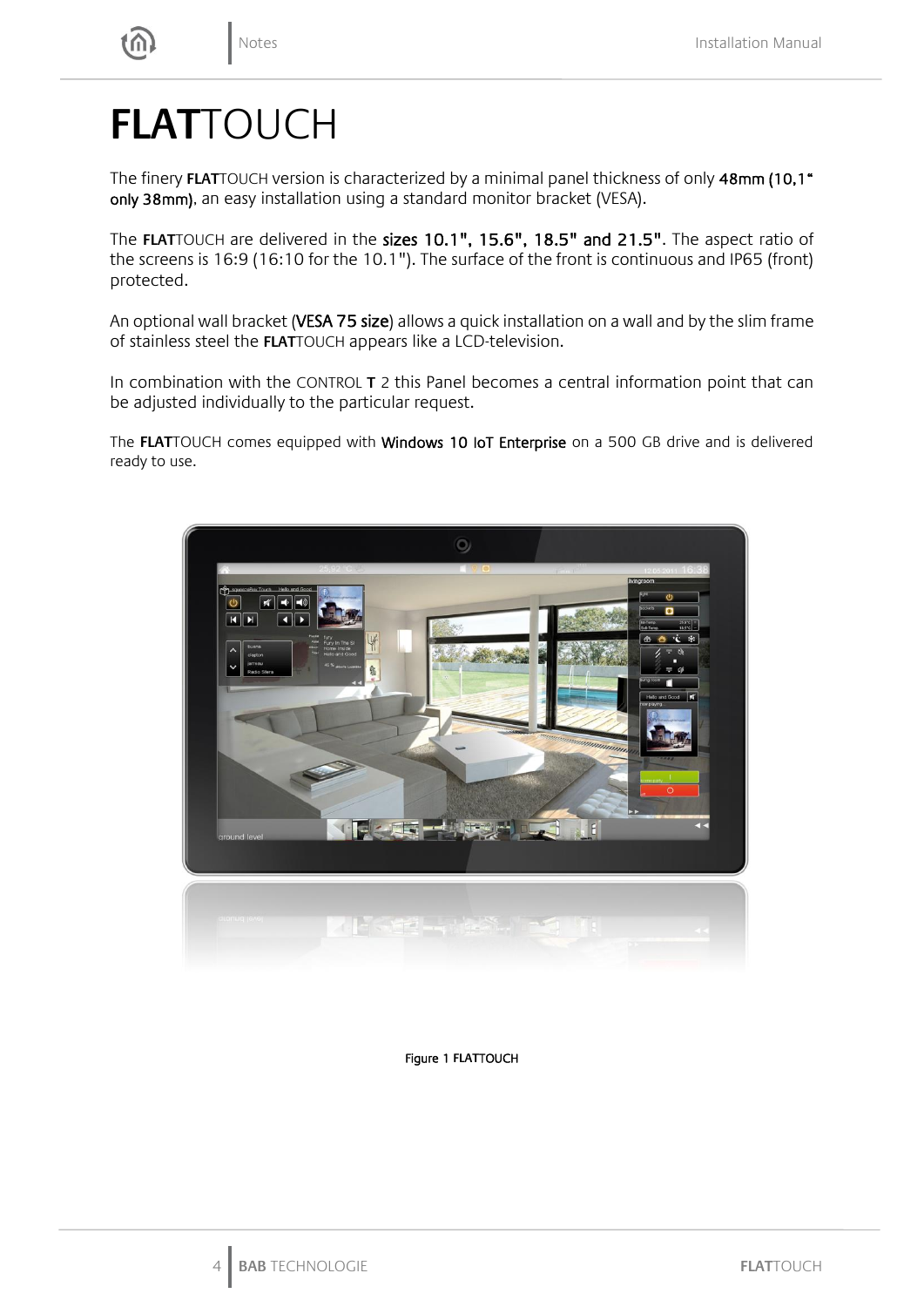# **FLAT**TOUCH

The finery **FLAT**TOUCH version is characterized by a minimal panel thickness of only 48mm (10,1" only 38mm), an easy installation using a standard monitor bracket (VESA).

The **FLAT**TOUCH are delivered in the sizes 10.1", 15.6", 18.5" and 21.5". The aspect ratio of the screens is 16:9 (16:10 for the 10.1"). The surface of the front is continuous and IP65 (front) protected.

An optional wall bracket (VESA 75 size) allows a quick installation on a wall and by the slim frame of stainless steel the **FLAT**TOUCH appears like a LCD-television.

In combination with the CONTROL **T** 2 this Panel becomes a central information point that can be adjusted individually to the particular request.

The **FLAT**TOUCH comes equipped with Windows 10 IoT Enterprise on a 500 GB drive and is delivered ready to use.



<span id="page-3-0"></span>Figure 1 **FLAT**TOUCH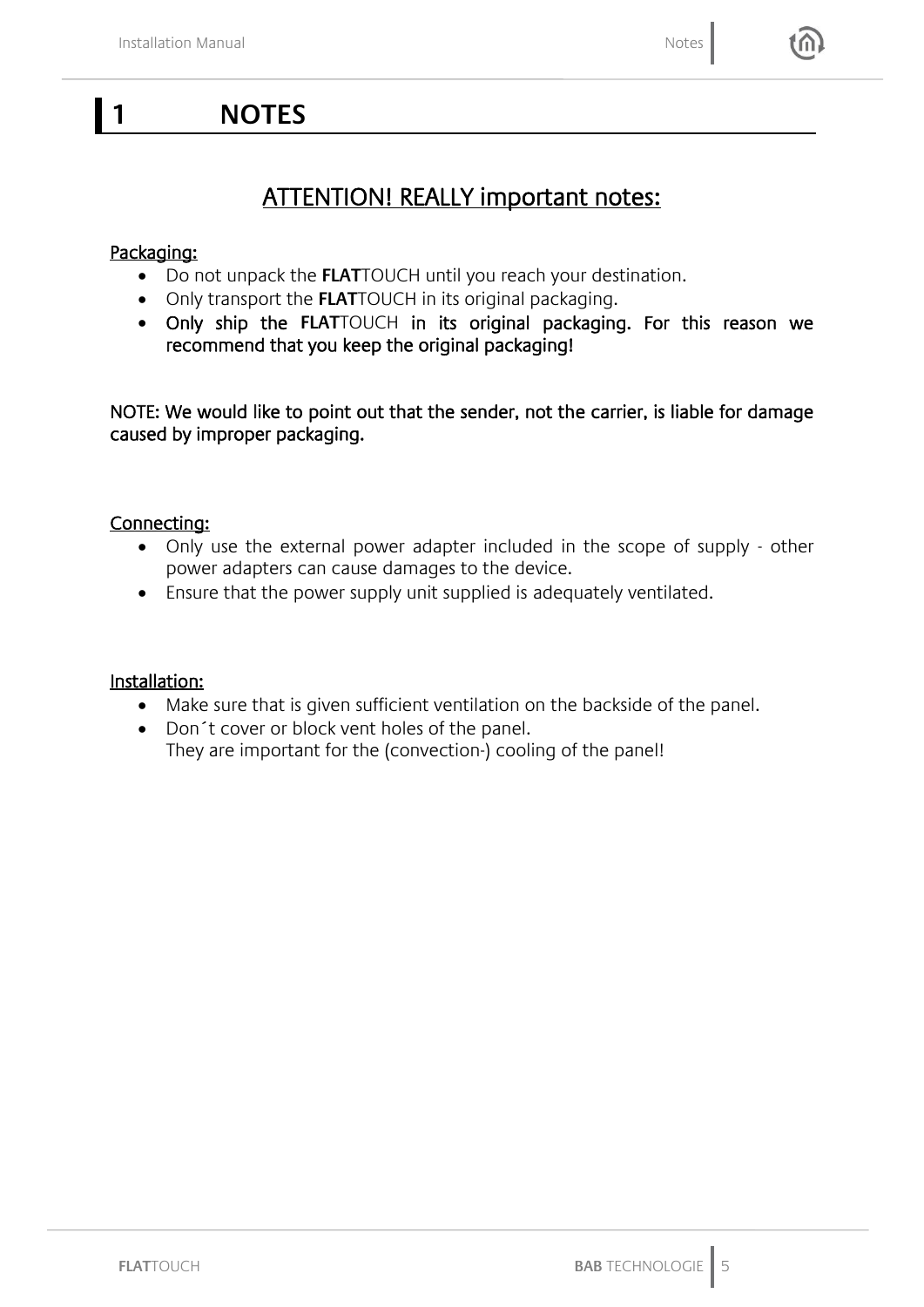### <span id="page-4-0"></span>**1 NOTES**

### ATTENTION! REALLY important notes:

### Packaging:

- Do not unpack the **FLAT**TOUCH until you reach your destination.
- Only transport the **FLAT**TOUCH in its original packaging.
- Only ship the **FLAT**TOUCH in its original packaging. For this reason we recommend that you keep the original packaging!

NOTE: We would like to point out that the sender, not the carrier, is liable for damage caused by improper packaging.

### Connecting:

- Only use the external power adapter included in the scope of supply other power adapters can cause damages to the device.
- Ensure that the power supply unit supplied is adequately ventilated.

#### Installation:

- Make sure that is given sufficient ventilation on the backside of the panel.
- Don´t cover or block vent holes of the panel.
	- They are important for the (convection-) cooling of the panel!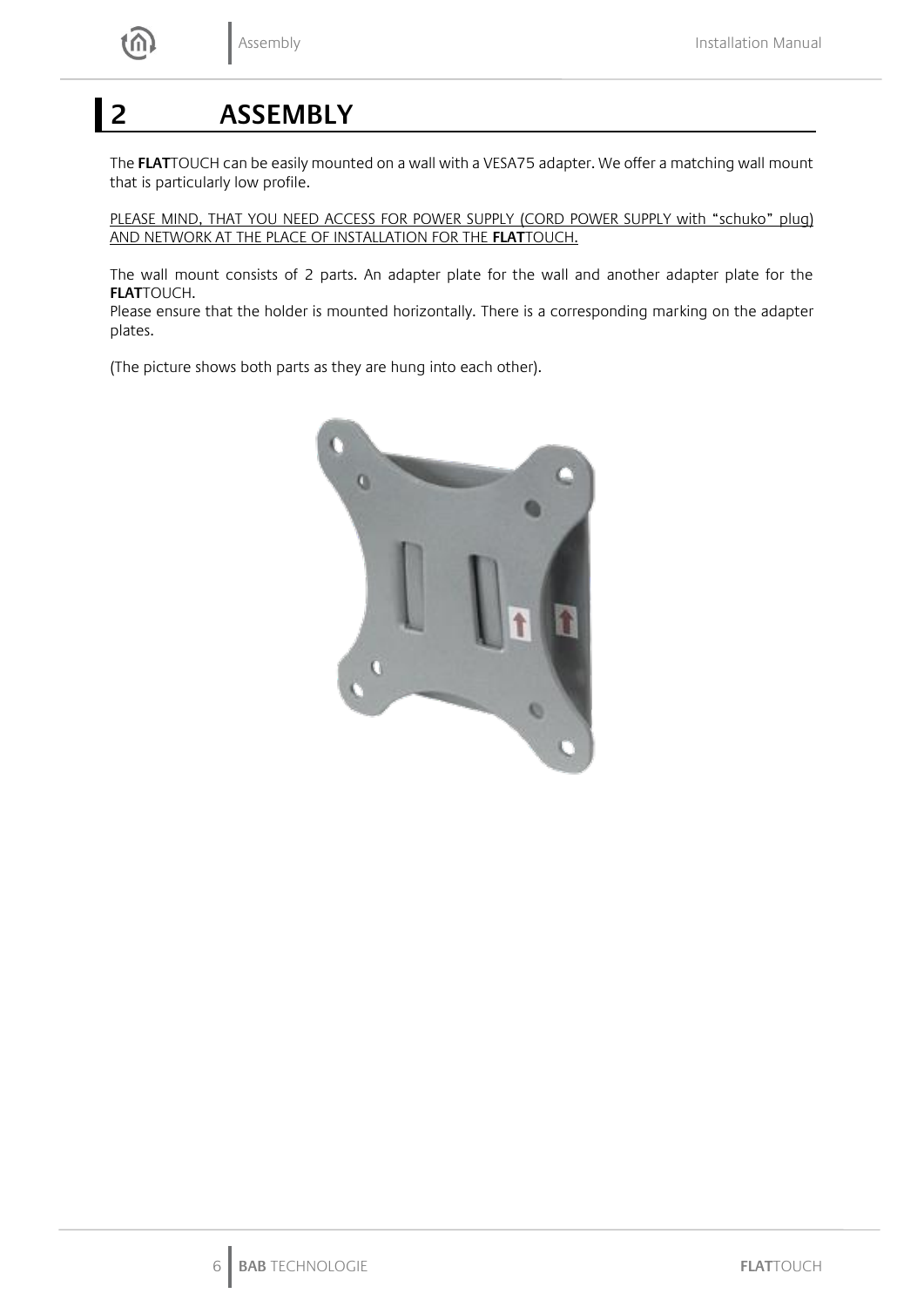## <span id="page-5-0"></span>**2 ASSEMBLY**

The **FLAT**TOUCH can be easily mounted on a wall with a VESA75 adapter. We offer a matching wall mount that is particularly low profile.

PLEASE MIND, THAT YOU NEED ACCESS FOR POWER SUPPLY (CORD POWER SUPPLY with "schuko" plug) AND NETWORK AT THE PLACE OF INSTALLATION FOR THE **FLAT**TOUCH.

The wall mount consists of 2 parts. An adapter plate for the wall and another adapter plate for the **FLAT**TOUCH.

Please ensure that the holder is mounted horizontally. There is a corresponding marking on the adapter plates.

(The picture shows both parts as they are hung into each other).

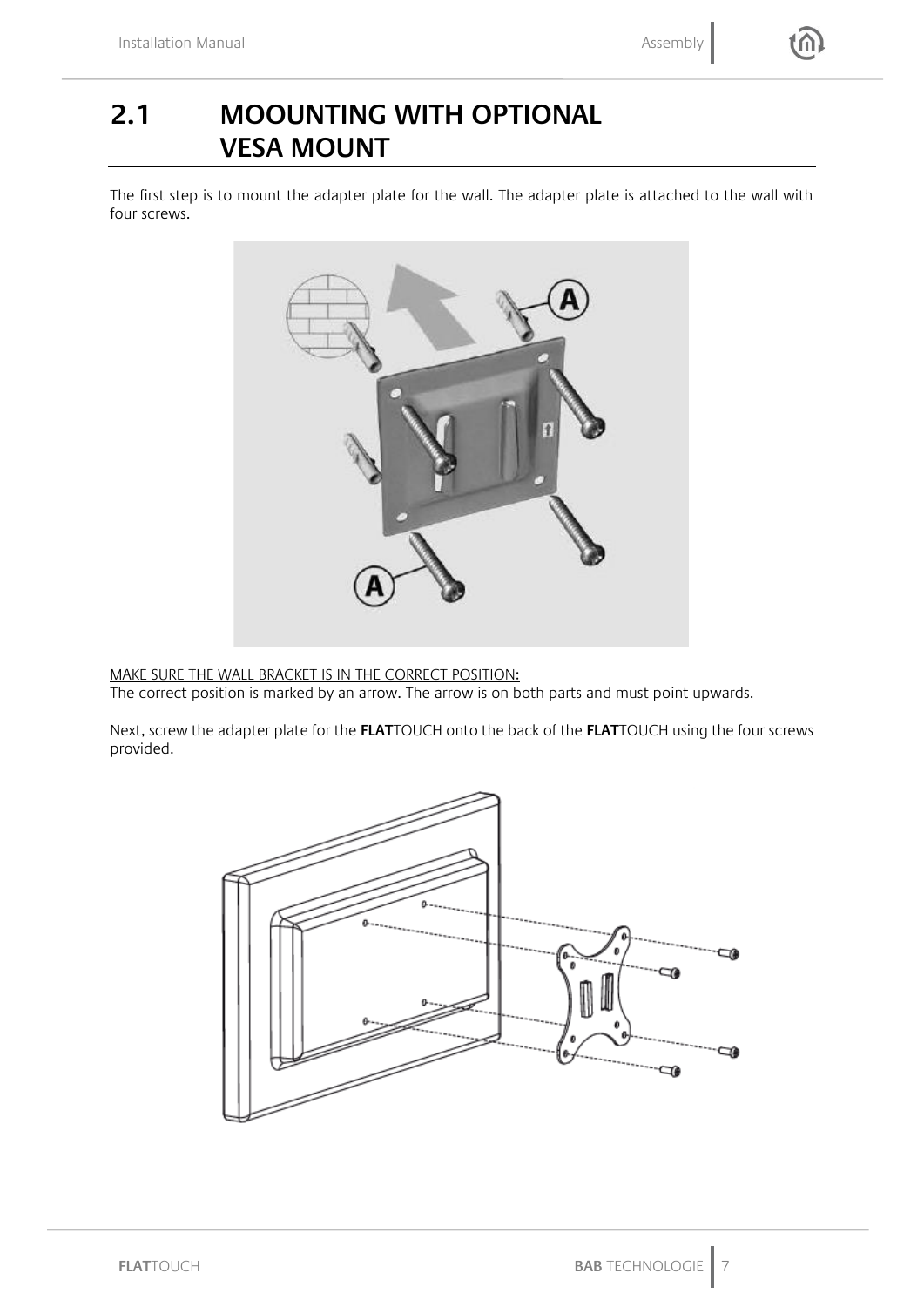## <span id="page-6-0"></span>**2.1 MOOUNTING WITH OPTIONAL VESA MOUNT**

The first step is to mount the adapter plate for the wall. The adapter plate is attached to the wall with four screws.



MAKE SURE THE WALL BRACKET IS IN THE CORRECT POSITION:

The correct position is marked by an arrow. The arrow is on both parts and must point upwards.

Next, screw the adapter plate for the **FLAT**TOUCH onto the back of the **FLAT**TOUCH using the four screws provided.

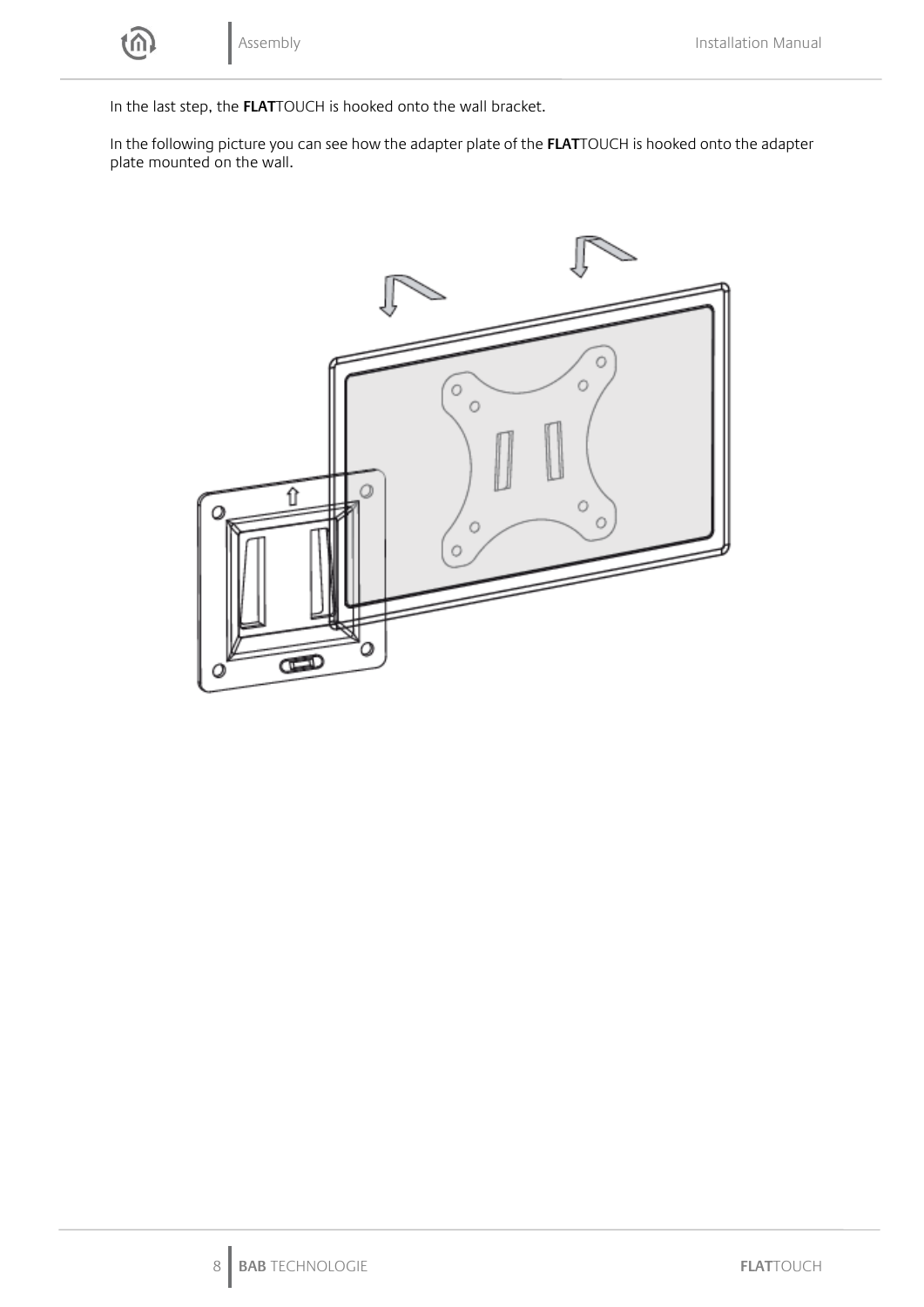

In the last step, the **FLAT**TOUCH is hooked onto the wall bracket.

In the following picture you can see how the adapter plate of the **FLAT**TOUCH is hooked onto the adapter plate mounted on the wall.

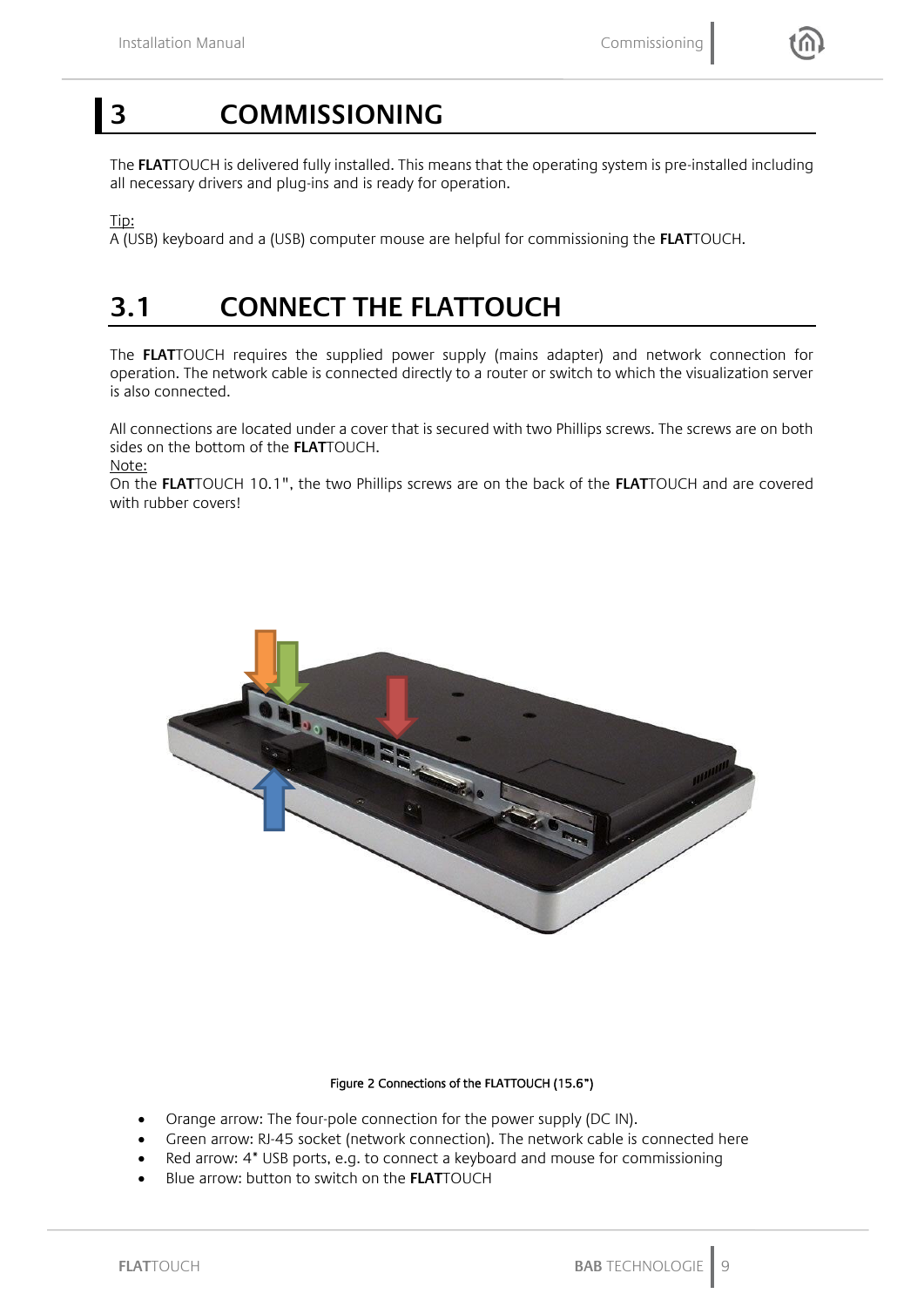### <span id="page-8-0"></span>**3 COMMISSIONING**

The **FLAT**TOUCH is delivered fully installed. This means that the operating system is pre-installed including all necessary drivers and plug-ins and is ready for operation.

Tip:

A (USB) keyboard and a (USB) computer mouse are helpful for commissioning the **FLAT**TOUCH.

### <span id="page-8-1"></span>**3.1 CONNECT THE FLATTOUCH**

The **FLAT**TOUCH requires the supplied power supply (mains adapter) and network connection for operation. The network cable is connected directly to a router or switch to which the visualization server is also connected.

All connections are located under a cover that is secured with two Phillips screws. The screws are on both sides on the bottom of the **FLAT**TOUCH.

Note:

On the **FLAT**TOUCH 10.1", the two Phillips screws are on the back of the **FLAT**TOUCH and are covered with rubber covers!



#### Figure 2 Connections of the **FLAT**TOUCH (15.6")

- <span id="page-8-2"></span>• Orange arrow: The four-pole connection for the power supply (DC IN).
- Green arrow: RJ-45 socket (network connection). The network cable is connected here
- Red arrow: 4\* USB ports, e.g. to connect a keyboard and mouse for commissioning
- Blue arrow: button to switch on the **FLAT**TOUCH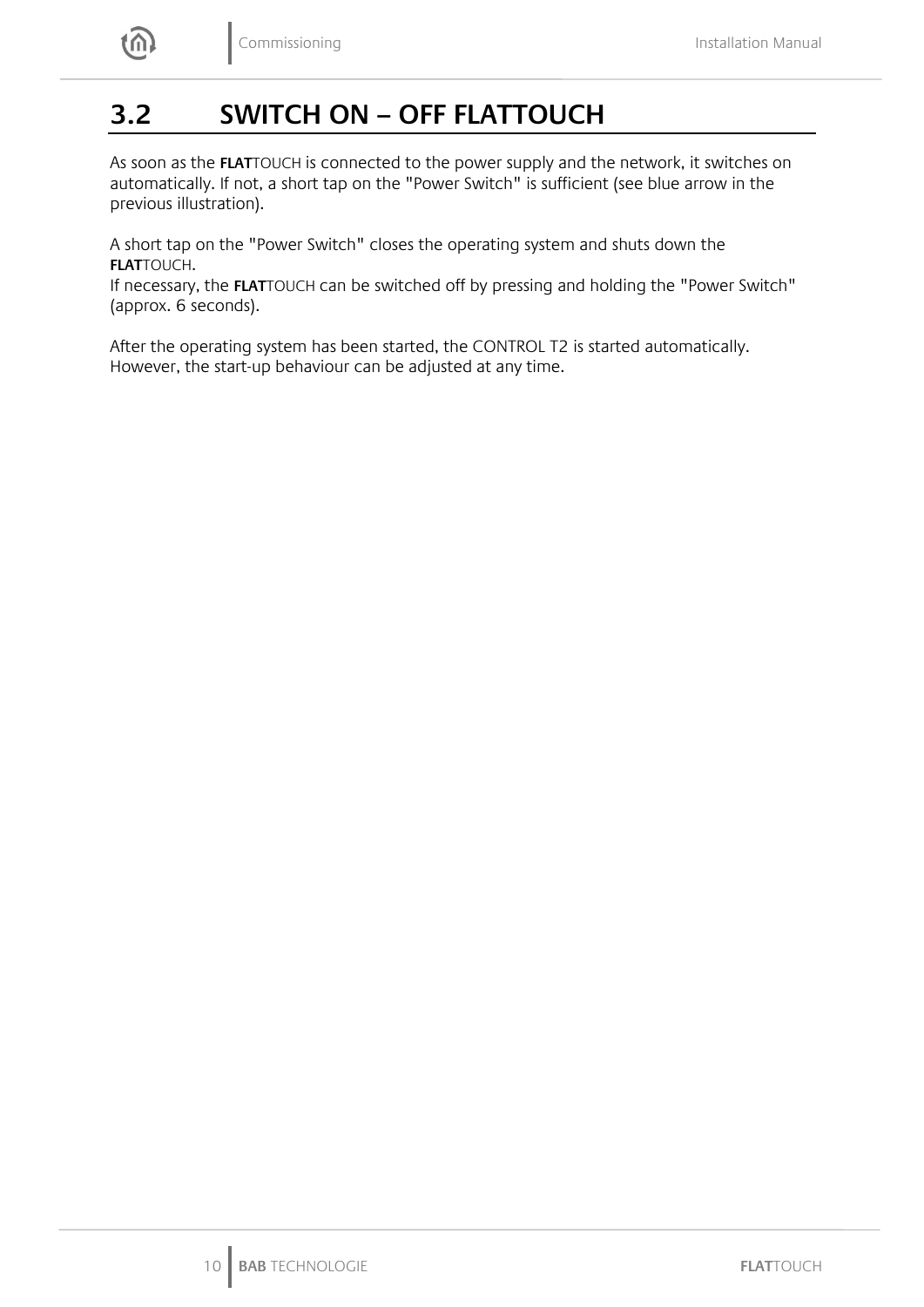<span id="page-9-0"></span>

As soon as the **FLAT**TOUCH is connected to the power supply and the network, it switches on automatically. If not, a short tap on the "Power Switch" is sufficient (see blue arrow in the previous illustration).

A short tap on the "Power Switch" closes the operating system and shuts down the **FLAT**TOUCH.

If necessary, the **FLAT**TOUCH can be switched off by pressing and holding the "Power Switch" (approx. 6 seconds).

After the operating system has been started, the CONTROL T2 is started automatically. However, the start-up behaviour can be adjusted at any time.